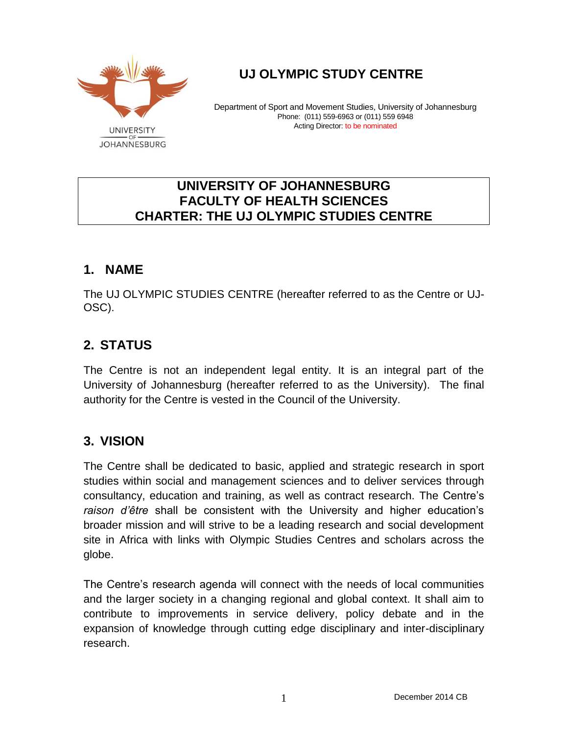

# **UJ OLYMPIC STUDY CENTRE**

Department of Sport and Movement Studies, University of Johannesburg Phone: (011) 559-6963 or (011) 559 6948 Acting Director: to be nominated

### **UNIVERSITY OF JOHANNESBURG FACULTY OF HEALTH SCIENCES CHARTER: THE UJ OLYMPIC STUDIES CENTRE**

### **1. NAME**

The UJ OLYMPIC STUDIES CENTRE (hereafter referred to as the Centre or UJ-OSC).

## **2. STATUS**

The Centre is not an independent legal entity. It is an integral part of the University of Johannesburg (hereafter referred to as the University). The final authority for the Centre is vested in the Council of the University.

### **3. VISION**

The Centre shall be dedicated to basic, applied and strategic research in sport studies within social and management sciences and to deliver services through consultancy, education and training, as well as contract research. The Centre's *raison d'être* shall be consistent with the University and higher education's broader mission and will strive to be a leading research and social development site in Africa with links with Olympic Studies Centres and scholars across the globe.

The Centre's research agenda will connect with the needs of local communities and the larger society in a changing regional and global context. It shall aim to contribute to improvements in service delivery, policy debate and in the expansion of knowledge through cutting edge disciplinary and inter-disciplinary research.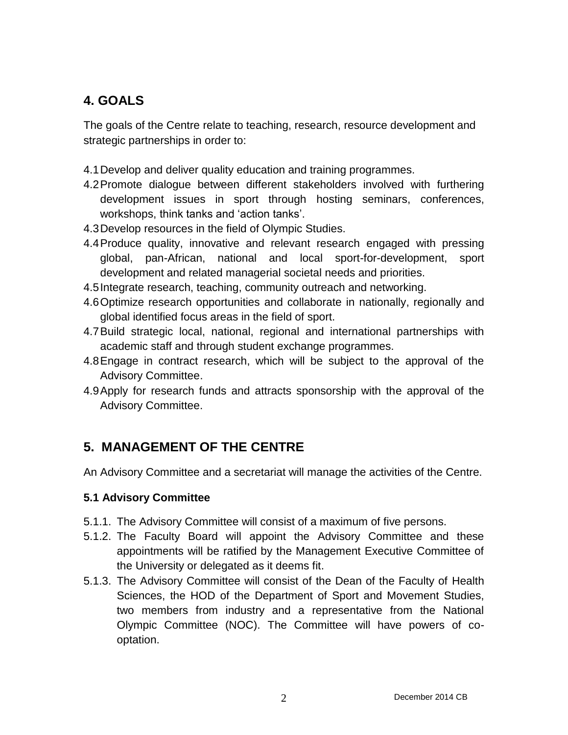## **4. GOALS**

The goals of the Centre relate to teaching, research, resource development and strategic partnerships in order to:

- 4.1Develop and deliver quality education and training programmes.
- 4.2Promote dialogue between different stakeholders involved with furthering development issues in sport through hosting seminars, conferences, workshops, think tanks and 'action tanks'.
- 4.3Develop resources in the field of Olympic Studies.
- 4.4Produce quality, innovative and relevant research engaged with pressing global, pan-African, national and local sport-for-development, sport development and related managerial societal needs and priorities.
- 4.5Integrate research, teaching, community outreach and networking.
- 4.6Optimize research opportunities and collaborate in nationally, regionally and global identified focus areas in the field of sport.
- 4.7Build strategic local, national, regional and international partnerships with academic staff and through student exchange programmes.
- 4.8Engage in contract research, which will be subject to the approval of the Advisory Committee.
- 4.9Apply for research funds and attracts sponsorship with the approval of the Advisory Committee.

## **5. MANAGEMENT OF THE CENTRE**

An Advisory Committee and a secretariat will manage the activities of the Centre.

#### **5.1 Advisory Committee**

- 5.1.1. The Advisory Committee will consist of a maximum of five persons.
- 5.1.2. The Faculty Board will appoint the Advisory Committee and these appointments will be ratified by the Management Executive Committee of the University or delegated as it deems fit.
- 5.1.3. The Advisory Committee will consist of the Dean of the Faculty of Health Sciences, the HOD of the Department of Sport and Movement Studies, two members from industry and a representative from the National Olympic Committee (NOC). The Committee will have powers of cooptation.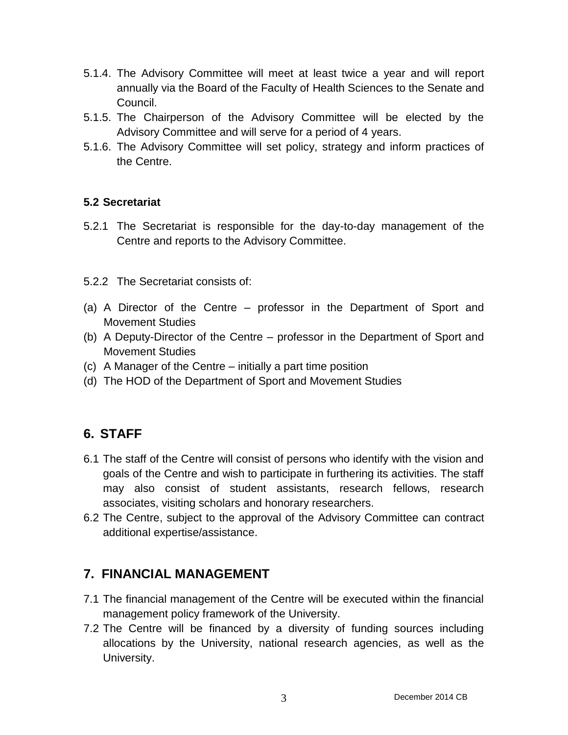- 5.1.4. The Advisory Committee will meet at least twice a year and will report annually via the Board of the Faculty of Health Sciences to the Senate and Council.
- 5.1.5. The Chairperson of the Advisory Committee will be elected by the Advisory Committee and will serve for a period of 4 years.
- 5.1.6. The Advisory Committee will set policy, strategy and inform practices of the Centre.

#### **5.2 Secretariat**

5.2.1 The Secretariat is responsible for the day-to-day management of the Centre and reports to the Advisory Committee.

#### 5.2.2 The Secretariat consists of:

- (a) A Director of the Centre professor in the Department of Sport and Movement Studies
- (b) A Deputy-Director of the Centre professor in the Department of Sport and Movement Studies
- (c) A Manager of the Centre initially a part time position
- (d) The HOD of the Department of Sport and Movement Studies

## **6. STAFF**

- 6.1 The staff of the Centre will consist of persons who identify with the vision and goals of the Centre and wish to participate in furthering its activities. The staff may also consist of student assistants, research fellows, research associates, visiting scholars and honorary researchers.
- 6.2 The Centre, subject to the approval of the Advisory Committee can contract additional expertise/assistance.

### **7. FINANCIAL MANAGEMENT**

- 7.1 The financial management of the Centre will be executed within the financial management policy framework of the University.
- 7.2 The Centre will be financed by a diversity of funding sources including allocations by the University, national research agencies, as well as the University.